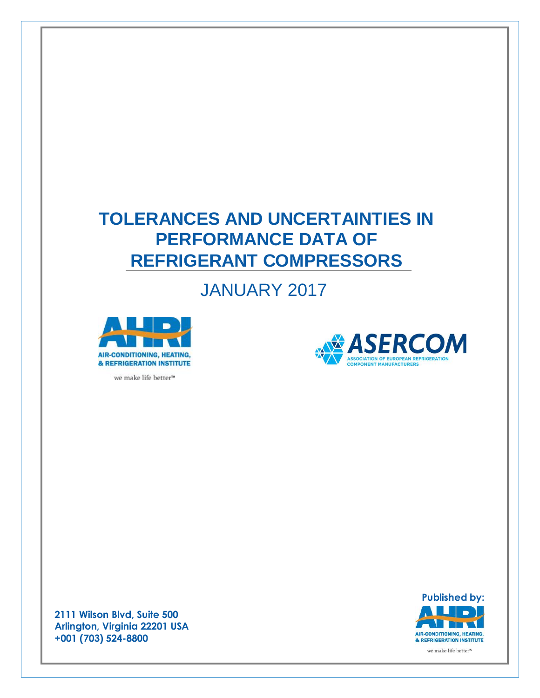# **TOLERANCES AND UNCERTAINTIES IN PERFORMANCE DATA OF REFRIGERANT COMPRESSORS**

# JANUARY 2017



**ASERCOM** ASSOCIATION OF FUROPEAN PEEDIGERATION ONENT MANUFACTURERS

we make life better™

**Published by:** v **The State** AIR-CONDITIONING, HEATING, & REFRIGERATION INSTITUTE we make life better™

**2111 Wilson Blvd, Suite 500 Arlington, Virginia 22201 USA +001 (703) 524-8800**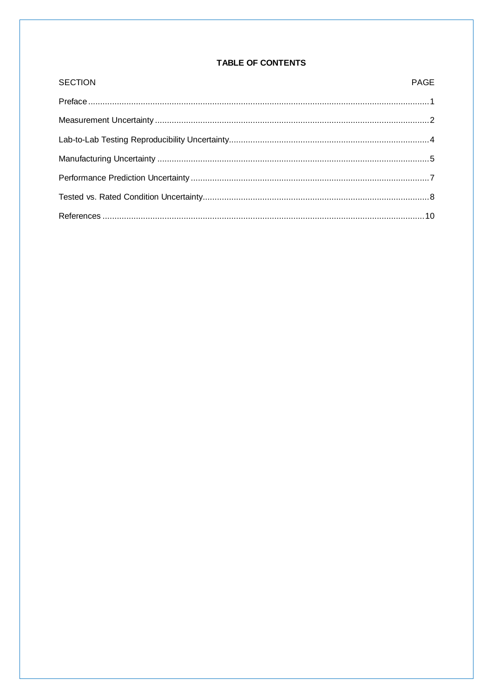## TABLE OF CONTENTS

| <b>SECTION</b> | <b>PAGE</b> |
|----------------|-------------|
|                |             |
|                |             |
|                |             |
|                |             |
|                |             |
|                |             |
|                |             |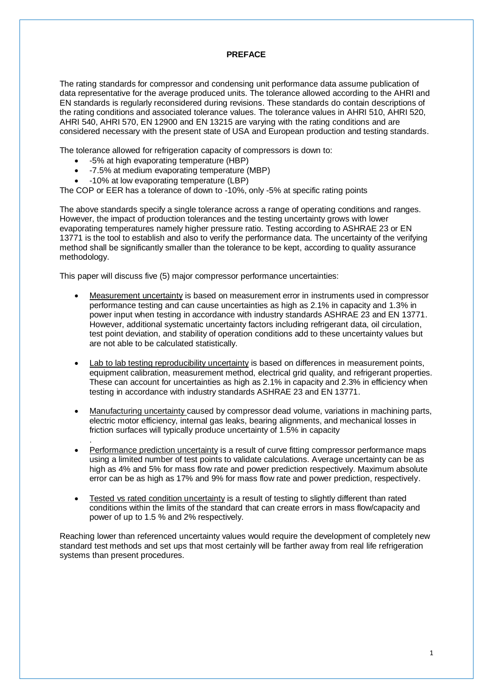## **PREFACE**

The rating standards for compressor and condensing unit performance data assume publication of data representative for the average produced units. The tolerance allowed according to the AHRI and EN standards is regularly reconsidered during revisions. These standards do contain descriptions of the rating conditions and associated tolerance values. The tolerance values in AHRI 510, AHRI 520, AHRI 540, AHRI 570, EN 12900 and EN 13215 are varying with the rating conditions and are considered necessary with the present state of USA and European production and testing standards.

The tolerance allowed for refrigeration capacity of compressors is down to:

- -5% at high evaporating temperature (HBP)
- -7.5% at medium evaporating temperature (MBP)
- -10% at low evaporating temperature (LBP)

.

The COP or EER has a tolerance of down to -10%, only -5% at specific rating points

The above standards specify a single tolerance across a range of operating conditions and ranges. However, the impact of production tolerances and the testing uncertainty grows with lower evaporating temperatures namely higher pressure ratio. Testing according to ASHRAE 23 or EN 13771 is the tool to establish and also to verify the performance data. The uncertainty of the verifying method shall be significantly smaller than the tolerance to be kept, according to quality assurance methodology.

This paper will discuss five (5) major compressor performance uncertainties:

- Measurement uncertainty is based on measurement error in instruments used in compressor performance testing and can cause uncertainties as high as 2.1% in capacity and 1.3% in power input when testing in accordance with industry standards ASHRAE 23 and EN 13771. However, additional systematic uncertainty factors including refrigerant data, oil circulation, test point deviation, and stability of operation conditions add to these uncertainty values but are not able to be calculated statistically.
- Lab to lab testing reproducibility uncertainty is based on differences in measurement points, equipment calibration, measurement method, electrical grid quality, and refrigerant properties. These can account for uncertainties as high as 2.1% in capacity and 2.3% in efficiency when testing in accordance with industry standards ASHRAE 23 and EN 13771.
- Manufacturing uncertainty caused by compressor dead volume, variations in machining parts, electric motor efficiency, internal gas leaks, bearing alignments, and mechanical losses in friction surfaces will typically produce uncertainty of 1.5% in capacity
- Performance prediction uncertainty is a result of curve fitting compressor performance maps using a limited number of test points to validate calculations. Average uncertainty can be as high as 4% and 5% for mass flow rate and power prediction respectively. Maximum absolute error can be as high as 17% and 9% for mass flow rate and power prediction, respectively.
- Tested vs rated condition uncertainty is a result of testing to slightly different than rated conditions within the limits of the standard that can create errors in mass flow/capacity and power of up to 1.5 % and 2% respectively.

Reaching lower than referenced uncertainty values would require the development of completely new standard test methods and set ups that most certainly will be farther away from real life refrigeration systems than present procedures.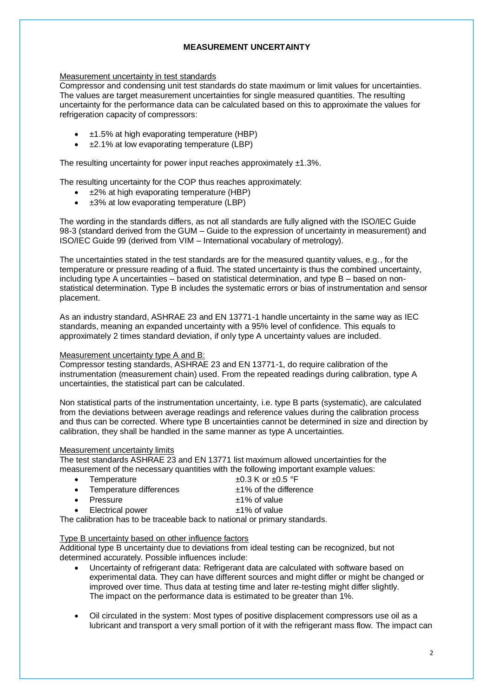## **MEASUREMENT UNCERTAINTY**

### Measurement uncertainty in test standards

Compressor and condensing unit test standards do state maximum or limit values for uncertainties. The values are target measurement uncertainties for single measured quantities. The resulting uncertainty for the performance data can be calculated based on this to approximate the values for refrigeration capacity of compressors:

- ±1.5% at high evaporating temperature (HBP)
- ±2.1% at low evaporating temperature (LBP)

The resulting uncertainty for power input reaches approximately  $\pm 1.3\%$ .

The resulting uncertainty for the COP thus reaches approximately:

- ±2% at high evaporating temperature (HBP)
- ±3% at low evaporating temperature (LBP)

The wording in the standards differs, as not all standards are fully aligned with the ISO/IEC Guide 98-3 (standard derived from the GUM – Guide to the expression of uncertainty in measurement) and ISO/IEC Guide 99 (derived from VIM – International vocabulary of metrology).

The uncertainties stated in the test standards are for the measured quantity values, e.g., for the temperature or pressure reading of a fluid. The stated uncertainty is thus the combined uncertainty, including type A uncertainties – based on statistical determination, and type B – based on nonstatistical determination. Type B includes the systematic errors or bias of instrumentation and sensor placement.

As an industry standard, ASHRAE 23 and EN 13771-1 handle uncertainty in the same way as IEC standards, meaning an expanded uncertainty with a 95% level of confidence. This equals to approximately 2 times standard deviation, if only type A uncertainty values are included.

### Measurement uncertainty type A and B:

Compressor testing standards, ASHRAE 23 and EN 13771-1, do require calibration of the instrumentation (measurement chain) used. From the repeated readings during calibration, type A uncertainties, the statistical part can be calculated.

Non statistical parts of the instrumentation uncertainty, i.e. type B parts (systematic), are calculated from the deviations between average readings and reference values during the calibration process and thus can be corrected. Where type B uncertainties cannot be determined in size and direction by calibration, they shall be handled in the same manner as type A uncertainties.

#### Measurement uncertainty limits

The test standards ASHRAE 23 and EN 13771 list maximum allowed uncertainties for the measurement of the necessary quantities with the following important example values:

| • Temperature                                                              | $\pm 0.3$ K or $\pm 0.5$ °F |  |  |  |
|----------------------------------------------------------------------------|-----------------------------|--|--|--|
| • Temperature differences                                                  | $±1\%$ of the difference    |  |  |  |
| • Pressure                                                                 | $±1\%$ of value             |  |  |  |
| • Electrical power                                                         | $±1\%$ of value             |  |  |  |
| The calibration has to be traceable back to national or primary standards. |                             |  |  |  |

### Type B uncertainty based on other influence factors

Additional type B uncertainty due to deviations from ideal testing can be recognized, but not determined accurately. Possible influences include:

- Uncertainty of refrigerant data: Refrigerant data are calculated with software based on experimental data. They can have different sources and might differ or might be changed or improved over time. Thus data at testing time and later re-testing might differ slightly. The impact on the performance data is estimated to be greater than 1%.
- Oil circulated in the system: Most types of positive displacement compressors use oil as a lubricant and transport a very small portion of it with the refrigerant mass flow. The impact can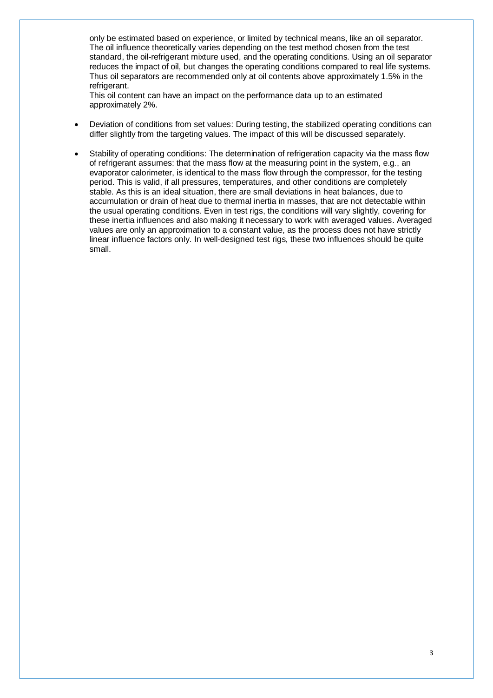only be estimated based on experience, or limited by technical means, like an oil separator. The oil influence theoretically varies depending on the test method chosen from the test standard, the oil-refrigerant mixture used, and the operating conditions. Using an oil separator reduces the impact of oil, but changes the operating conditions compared to real life systems. Thus oil separators are recommended only at oil contents above approximately 1.5% in the refrigerant.

This oil content can have an impact on the performance data up to an estimated approximately 2%.

- Deviation of conditions from set values: During testing, the stabilized operating conditions can differ slightly from the targeting values. The impact of this will be discussed separately.
- Stability of operating conditions: The determination of refrigeration capacity via the mass flow of refrigerant assumes: that the mass flow at the measuring point in the system, e.g., an evaporator calorimeter, is identical to the mass flow through the compressor, for the testing period. This is valid, if all pressures, temperatures, and other conditions are completely stable. As this is an ideal situation, there are small deviations in heat balances, due to accumulation or drain of heat due to thermal inertia in masses, that are not detectable within the usual operating conditions. Even in test rigs, the conditions will vary slightly, covering for these inertia influences and also making it necessary to work with averaged values. Averaged values are only an approximation to a constant value, as the process does not have strictly linear influence factors only. In well-designed test rigs, these two influences should be quite small.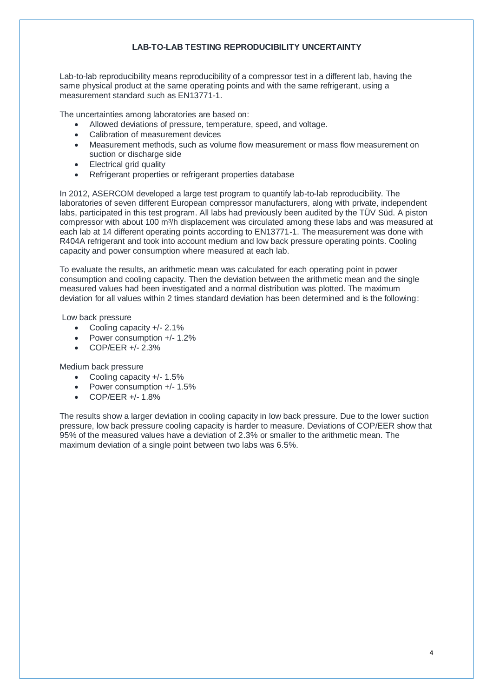## **LAB-TO-LAB TESTING REPRODUCIBILITY UNCERTAINTY**

Lab-to-lab reproducibility means reproducibility of a compressor test in a different lab, having the same physical product at the same operating points and with the same refrigerant, using a measurement standard such as EN13771-1.

The uncertainties among laboratories are based on:

- Allowed deviations of pressure, temperature, speed, and voltage.
- Calibration of measurement devices
- Measurement methods, such as volume flow measurement or mass flow measurement on suction or discharge side
- Electrical grid quality
- Refrigerant properties or refrigerant properties database

In 2012, ASERCOM developed a large test program to quantify lab-to-lab reproducibility. The laboratories of seven different European compressor manufacturers, along with private, independent labs, participated in this test program. All labs had previously been audited by the TÜV Süd. A piston compressor with about 100 m<sup>3</sup>/h displacement was circulated among these labs and was measured at each lab at 14 different operating points according to EN13771-1. The measurement was done with R404A refrigerant and took into account medium and low back pressure operating points. Cooling capacity and power consumption where measured at each lab.

To evaluate the results, an arithmetic mean was calculated for each operating point in power consumption and cooling capacity. Then the deviation between the arithmetic mean and the single measured values had been investigated and a normal distribution was plotted. The maximum deviation for all values within 2 times standard deviation has been determined and is the following:

Low back pressure

- Cooling capacity +/- 2.1%
- Power consumption +/-1.2%
- $\bullet$  COP/EER  $+/- 2.3\%$

Medium back pressure

- Cooling capacity +/- 1.5%
- Power consumption +/- 1.5%
- COP/EER +/- 1.8%

The results show a larger deviation in cooling capacity in low back pressure. Due to the lower suction pressure, low back pressure cooling capacity is harder to measure. Deviations of COP/EER show that 95% of the measured values have a deviation of 2.3% or smaller to the arithmetic mean. The maximum deviation of a single point between two labs was 6.5%.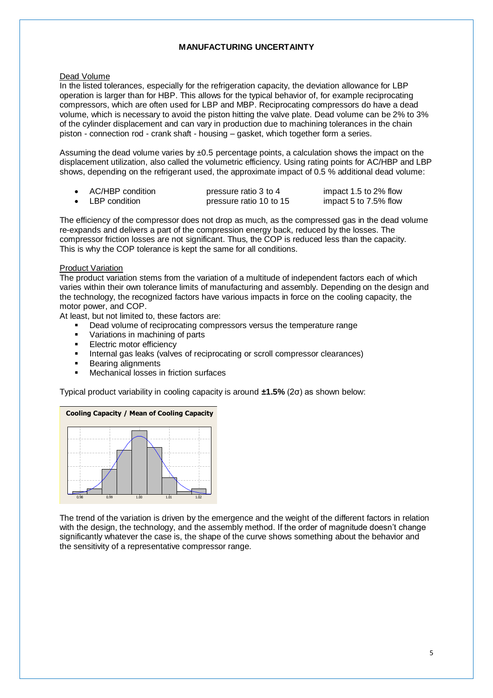## **MANUFACTURING UNCERTAINTY**

## Dead Volume

In the listed tolerances, especially for the refrigeration capacity, the deviation allowance for LBP operation is larger than for HBP. This allows for the typical behavior of, for example reciprocating compressors, which are often used for LBP and MBP. Reciprocating compressors do have a dead volume, which is necessary to avoid the piston hitting the valve plate. Dead volume can be 2% to 3% of the cylinder displacement and can vary in production due to machining tolerances in the chain piston - connection rod - crank shaft - housing – gasket, which together form a series.

Assuming the dead volume varies by  $\pm 0.5$  percentage points, a calculation shows the impact on the displacement utilization, also called the volumetric efficiency. Using rating points for AC/HBP and LBP shows, depending on the refrigerant used, the approximate impact of 0.5 % additional dead volume:

| AC/HBP condition | pressure ratio 3 to 4   | impact 1.5 to 2% flow |
|------------------|-------------------------|-----------------------|
| • LBP condition  | pressure ratio 10 to 15 | impact 5 to 7.5% flow |

The efficiency of the compressor does not drop as much, as the compressed gas in the dead volume re-expands and delivers a part of the compression energy back, reduced by the losses. The compressor friction losses are not significant. Thus, the COP is reduced less than the capacity. This is why the COP tolerance is kept the same for all conditions.

## Product Variation

The product variation stems from the variation of a multitude of independent factors each of which varies within their own tolerance limits of manufacturing and assembly. Depending on the design and the technology, the recognized factors have various impacts in force on the cooling capacity, the motor power, and COP.

At least, but not limited to, these factors are:

- Dead volume of reciprocating compressors versus the temperature range
- Variations in machining of parts
- **Electric motor efficiency**
- Internal gas leaks (valves of reciprocating or scroll compressor clearances)
- Bearing alignments
- Mechanical losses in friction surfaces

Typical product variability in cooling capacity is around **±1.5%** (2σ) as shown below:



the sensitivity of a representative compressor range. The trend of the variation is driven by the emergence and the weight of the different factors in relation with the design, the technology, and the assembly method. If the order of magnitude doesn't change significantly whatever the case is, the shape of the curve shows something about the behavior and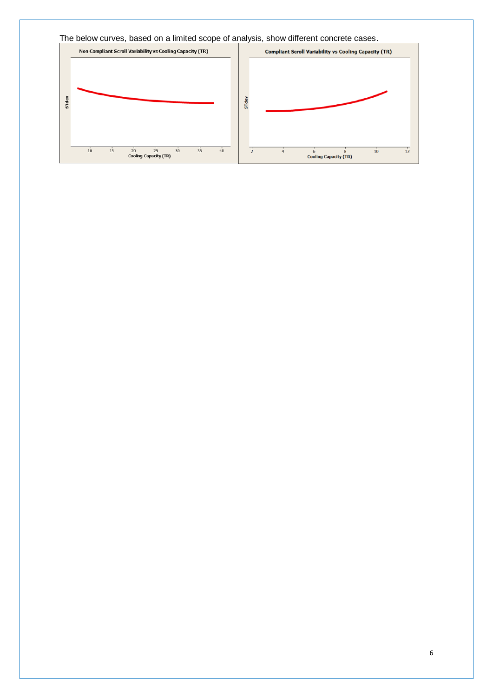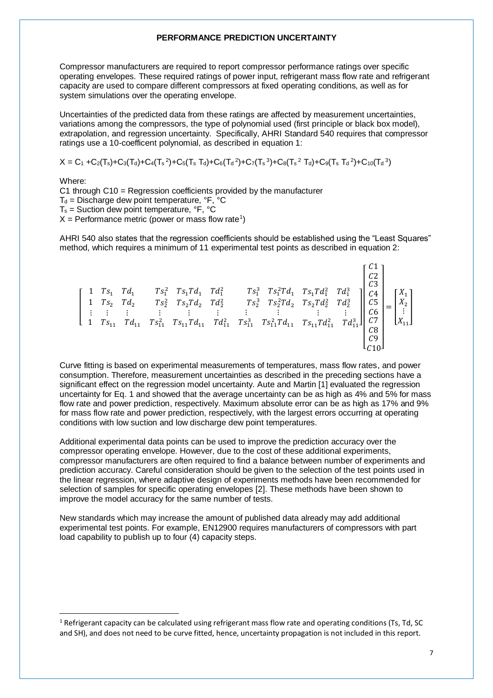#### **PERFORMANCE PREDICTION UNCERTAINTY**

Compressor manufacturers are required to report compressor performance ratings over specific operating envelopes. These required ratings of power input, refrigerant mass flow rate and refrigerant capacity are used to compare different compressors at fixed operating conditions, as well as for system simulations over the operating envelope.

Uncertainties of the predicted data from these ratings are affected by measurement uncertainties, variations among the compressors, the type of polynomial used (first principle or black box model), extrapolation, and regression uncertainty. Specifically, AHRI Standard 540 requires that compressor ratings use a 10-coefficent polynomial, as described in equation 1:

$$
X=C_1+C_2(T_s)+C_3(T_d)+C_4(T_s{}^2)+C_5(T_s{}^T_d)+C_6(T_d{}^2)+C_7(T_s{}^3)+C_8(T_s{}^2{}^T_d)+C_9(T_s{}^T_d{}^2)+C_{10}(T_d{}^3)
$$

Where:

1

C1 through C10 = Regression coefficients provided by the manufacturer  $T_d$  = Discharge dew point temperature,  $\mathrm{^{\circ}F}, \mathrm{^{\circ}C}$  $T_s$  = Suction dew point temperature,  $\mathrm{P}F$ ,  $\mathrm{C}C$  $X =$  Performance metric (power or mass flow rate<sup>1</sup>)

AHRI 540 also states that the regression coefficients should be established using the "Least Squares" method, which requires a minimum of 11 experimental test points as described in equation 2:

 $C1 -$ 

[ 1 <sup>1</sup> <sup>1</sup> <sup>1</sup> <sup>2</sup> 1<sup>1</sup> <sup>1</sup> <sup>2</sup> <sup>1</sup> <sup>3</sup> <sup>1</sup> <sup>2</sup><sup>1</sup> 1<sup>1</sup> <sup>2</sup> <sup>1</sup> 3 1 <sup>2</sup> <sup>2</sup> <sup>2</sup> <sup>2</sup> 2<sup>2</sup> <sup>2</sup> <sup>2</sup> <sup>2</sup> <sup>3</sup> <sup>2</sup> <sup>2</sup><sup>2</sup> 2<sup>2</sup> <sup>2</sup> <sup>2</sup> 3 ⋮ ⋮ ⋮ 1 <sup>11</sup> <sup>11</sup> ⋮ ⋮ ⋮ <sup>11</sup> <sup>2</sup> 11<sup>11</sup> <sup>11</sup> 2 ⋮ ⋮ ⋮ ⋮ <sup>11</sup> <sup>3</sup> <sup>11</sup> <sup>2</sup> <sup>11</sup> 11<sup>11</sup> <sup>2</sup> <sup>11</sup> 3 ] [ 2 3 4 5 6 7 8 9 10] = [ 1 2 ⋮ <sup>11</sup> ]

Curve fitting is based on experimental measurements of temperatures, mass flow rates, and power consumption. Therefore, measurement uncertainties as described in the preceding sections have a significant effect on the regression model uncertainty. Aute and Martin [1] evaluated the regression uncertainty for Eq. 1 and showed that the average uncertainty can be as high as 4% and 5% for mass flow rate and power prediction, respectively. Maximum absolute error can be as high as 17% and 9% for mass flow rate and power prediction, respectively, with the largest errors occurring at operating conditions with low suction and low discharge dew point temperatures.

Additional experimental data points can be used to improve the prediction accuracy over the compressor operating envelope. However, due to the cost of these additional experiments, compressor manufacturers are often required to find a balance between number of experiments and prediction accuracy. Careful consideration should be given to the selection of the test points used in the linear regression, where adaptive design of experiments methods have been recommended for selection of samples for specific operating envelopes [2]. These methods have been shown to improve the model accuracy for the same number of tests.

New standards which may increase the amount of published data already may add additional experimental test points. For example, EN12900 requires manufacturers of compressors with part load capability to publish up to four (4) capacity steps.

 $1$  Refrigerant capacity can be calculated using refrigerant mass flow rate and operating conditions (Ts, Td, SC) and SH), and does not need to be curve fitted, hence, uncertainty propagation is not included in this report.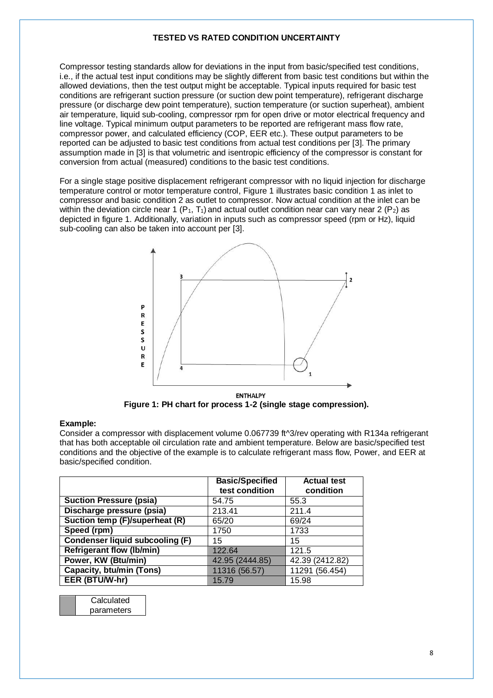## **TESTED VS RATED CONDITION UNCERTAINTY**

Compressor testing standards allow for deviations in the input from basic/specified test conditions, i.e., if the actual test input conditions may be slightly different from basic test conditions but within the allowed deviations, then the test output might be acceptable. Typical inputs required for basic test conditions are refrigerant suction pressure (or suction dew point temperature), refrigerant discharge pressure (or discharge dew point temperature), suction temperature (or suction superheat), ambient air temperature, liquid sub-cooling, compressor rpm for open drive or motor electrical frequency and line voltage. Typical minimum output parameters to be reported are refrigerant mass flow rate, compressor power, and calculated efficiency (COP, EER etc.). These output parameters to be reported can be adjusted to basic test conditions from actual test conditions per [3]. The primary assumption made in [3] is that volumetric and isentropic efficiency of the compressor is constant for conversion from actual (measured) conditions to the basic test conditions.

For a single stage positive displacement refrigerant compressor with no liquid injection for discharge temperature control or motor temperature control, Figure 1 illustrates basic condition 1 as inlet to compressor and basic condition 2 as outlet to compressor. Now actual condition at the inlet can be within the deviation circle near 1 ( $P_1$ ,  $T_1$ ) and actual outlet condition near can vary near 2 ( $P_2$ ) as depicted in figure 1. Additionally, variation in inputs such as compressor speed (rpm or Hz), liquid sub-cooling can also be taken into account per [3].



**ENTHALPY Figure 1: PH chart for process 1-2 (single stage compression).**

### **Example:**

Consider a compressor with displacement volume 0.067739 ft^3/rev operating with R134a refrigerant that has both acceptable oil circulation rate and ambient temperature. Below are basic/specified test conditions and the objective of the example is to calculate refrigerant mass flow, Power, and EER at basic/specified condition.

|                                        | <b>Basic/Specified</b><br>test condition | <b>Actual test</b><br>condition |
|----------------------------------------|------------------------------------------|---------------------------------|
| <b>Suction Pressure (psia)</b>         | 54.75                                    | 55.3                            |
| Discharge pressure (psia)              | 213.41                                   | 211.4                           |
| Suction temp (F)/superheat (R)         | 65/20                                    | 69/24                           |
| Speed (rpm)                            | 1750                                     | 1733                            |
| <b>Condenser liquid subcooling (F)</b> | 15                                       | 15                              |
| <b>Refrigerant flow (Ib/min)</b>       | 122.64                                   | 121.5                           |
| Power, KW (Btu/min)                    | 42.95 (2444.85)                          | 42.39 (2412.82)                 |
| <b>Capacity, btu/min (Tons)</b>        | 11316 (56.57)                            | 11291 (56.454)                  |
| EER (BTU/W-hr)                         | 15.79                                    | 15.98                           |

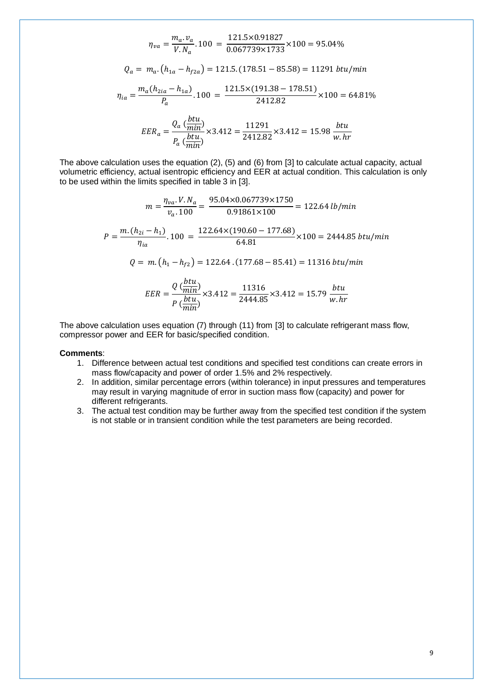$$
\eta_{va} = \frac{m_a \cdot v_a}{V.N_a} \cdot 100 = \frac{121.5 \times 0.91827}{0.067739 \times 1733} \times 100 = 95.04\%
$$
  
\n
$$
Q_a = m_a \cdot (h_{1a} - h_{f2a}) = 121.5 \cdot (178.51 - 85.58) = 11291 \text{ } btu/min
$$
  
\n
$$
\eta_{ia} = \frac{m_a (h_{2ia} - h_{1a})}{P_a} \cdot 100 = \frac{121.5 \times (191.38 - 178.51)}{2412.82} \times 100 = 64.81\%
$$
  
\n
$$
EER_a = \frac{Q_a (\frac{btu}{min})}{P_a (\frac{btu}{min})} \times 3.412 = \frac{11291}{2412.82} \times 3.412 = 15.98 \frac{btu}{w.hr}
$$

The above calculation uses the equation (2), (5) and (6) from [3] to calculate actual capacity, actual volumetric efficiency, actual isentropic efficiency and EER at actual condition. This calculation is only to be used within the limits specified in table 3 in [3].

$$
m = \frac{\eta_{va} \cdot V \cdot N_a}{\nu_a \cdot 100} = \frac{95.04 \times 0.067739 \times 1750}{0.91861 \times 100} = 122.64 \text{ lb/min}
$$
\n
$$
P = \frac{m \cdot (h_{2i} - h_1)}{\eta_{ia}} \cdot 100 = \frac{122.64 \times (190.60 - 177.68)}{64.81} \times 100 = 2444.85 \text{ btu/min}
$$
\n
$$
Q = m \cdot (h_1 - h_{f2}) = 122.64 \cdot (177.68 - 85.41) = 11316 \text{ btu/min}
$$
\n
$$
EER = \frac{Q \left(\frac{btu}{min}\right)}{P \left(\frac{btu}{min}\right)} \times 3.412 = \frac{11316}{2444.85} \times 3.412 = 15.79 \frac{btu}{w \cdot hr}
$$

The above calculation uses equation (7) through (11) from [3] to calculate refrigerant mass flow, compressor power and EER for basic/specified condition.

#### **Comments**:

- 1. Difference between actual test conditions and specified test conditions can create errors in mass flow/capacity and power of order 1.5% and 2% respectively.
- 2. In addition, similar percentage errors (within tolerance) in input pressures and temperatures may result in varying magnitude of error in suction mass flow (capacity) and power for different refrigerants.
- 3. The actual test condition may be further away from the specified test condition if the system is not stable or in transient condition while the test parameters are being recorded.